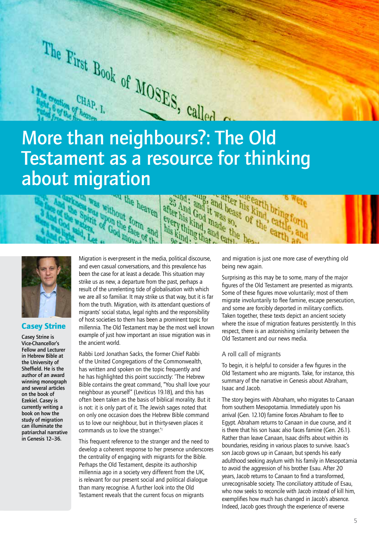

after his kind nade the his kind, and cather

# Testament as a resource for thinking about migration and, and the beast of the earth<br>er his God it was so, of the cattle<br>ery thing, and beast of the cattle<br>ikind, and cattle beast find, after his kind bring<br>was so, of the cattle his kind, cattle forth and; and the his kind, and the beast of this kind, and the his kind, and the beast of the his kind, and cattle beast



## Casey Strine

Casey Strine is Vice-Chancellor's Fellow and Lecturer in Hebrew Bible at the University of Sheffield. He is the author of an award winning monograph and several articles on the book of Ezekiel. Casey is currently writing a book on how the study of migration can illuminate the patriarchal narrative in Genesis 12–36.

Migration is ever-present in the media, political discourse, and even casual conversations, and this prevalence has been the case for at least a decade. This situation may strike us as new, a departure from the past, perhaps a result of the unrelenting tide of globalisation with which we are all so familiar. It may strike us that way, but it is far from the truth. Migration, with its attendant questions of migrants' social status, legal rights and the responsibility of host societies to them has been a prominent topic for millennia. The Old Testament may be the most well known example of just how important an issue migration was in the ancient world.

ease without form and irit upon the for

Rabbi Lord Jonathan Sacks, the former Chief Rabbi of the United Congregations of the Commonwealth, has written and spoken on the topic frequently and he has highlighted this point succinctly: 'The Hebrew Bible contains the great command, "You shall love your neighbour as yourself" (Leviticus 19.18), and this has often been taken as the basis of biblical morality. But it is not: it is only part of it. The Jewish sages noted that on only one occasion does the Hebrew Bible command us to love our neighbour, but in thirty-seven places it commands us to love the stranger.'1

This frequent reference to the stranger and the need to develop a coherent response to her presence underscores the centrality of engaging with migrants for the Bible. Perhaps the Old Testament, despite its authorship millennia ago in a society very different from the UK, is relevant for our present social and political dialogue than many recognise. A further look into the Old Testament reveals that the current focus on migrants

and migration is just one more case of everything old being new again.

Surprising as this may be to some, many of the major figures of the Old Testament are presented as migrants. Some of these figures move voluntarily; most of them migrate involuntarily to flee famine, escape persecution, and some are forcibly deported in military conflicts. Taken together, these texts depict an ancient society where the issue of migration features persistently. In this respect, there is an astonishing similarity between the Old Testament and our news media.

## A roll call of migrants

To begin, it is helpful to consider a few figures in the Old Testament who are migrants. Take, for instance, this summary of the narrative in Genesis about Abraham, Isaac and Jacob.

The story begins with Abraham, who migrates to Canaan from southern Mesopotamia. Immediately upon his arrival (Gen. 12.10) famine forces Abraham to flee to Egypt. Abraham returns to Canaan in due course, and it is there that his son Isaac also faces famine (Gen. 26.1). Rather than leave Canaan, Isaac drifts about within its boundaries, residing in various places to survive. Isaac's son Jacob grows up in Canaan, but spends his early adulthood seeking asylum with his family in Mesopotamia to avoid the aggression of his brother Esau. After 20 years, Jacob returns to Canaan to find a transformed, unrecognisable society. The conciliatory attitude of Esau, who now seeks to reconcile with Jacob instead of kill him, exemplifies how much has changed in Jacob's absence. Indeed, Jacob goes through the experience of reverse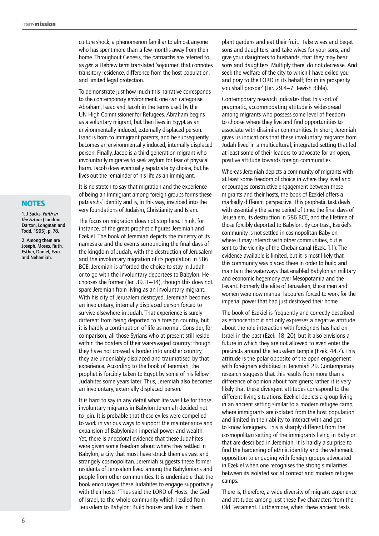culture shock, a phenomenon familiar to almost anyone who has spent more than a few months away from their home. Throughout Genesis, the patriarchs are referred to as *gēr*, a Hebrew term translated 'sojourner' that connotes transitory residence, difference from the host population, and limited legal protection.

To demonstrate just how much this narrative corresponds to the contemporary environment, one can categorise Abraham, Isaac and Jacob in the terms used by the UN High Commissioner for Refugees. Abraham begins as a voluntary migrant, but then lives in Egypt as an environmentally induced, externally displaced person. Isaac is born to immigrant parents, and he subsequently becomes an environmentally induced, internally displaced person. Finally, Jacob is a third generation migrant who involuntarily migrates to seek asylum for fear of physical harm. Jacob does eventually repatriate by choice, but he lives out the remainder of his life as an immigrant.

It is no stretch to say that migration and the experience of being an immigrant among foreign groups forms these patriarchs' identity and is, in this way, inscribed into the very foundations of Judaism, Christianity and Islam.

The focus on migration does not stop here. Think, for instance, of the great prophetic figures Jeremiah and Ezekiel. The book of Jeremiah depicts the ministry of its namesake and the events surrounding the final days of the kingdom of Judah, with the destruction of Jerusalem and the involuntary migration of its population in 586 BCE. Jeremiah is afforded the choice to stay in Judah or to go with the involuntary deportees to Babylon. He chooses the former (Jer. 39.11–14), though this does not spare Jeremiah from living as an involuntary migrant. With his city of Jerusalem destroyed, Jeremiah becomes an involuntary, internally displaced person forced to survive elsewhere in Judah. That experience is surely different from being deported to a foreign country, but it is hardly a continuation of life as normal. Consider, for comparison, all those Syrians who at present still reside within the borders of their war-ravaged country: though they have not crossed a border into another country, they are undeniably displaced and traumatised by that experience. According to the book of Jeremiah, the prophet is forcibly taken to Egypt by some of his fellow Judahites some years later. Thus, Jeremiah also becomes an involuntary, externally displaced person.

It is hard to say in any detail what life was like for those involuntary migrants in Babylon Jeremiah decided not to join. It is probable that these exiles were compelled to work in various ways to support the maintenance and expansion of Babylonian imperial power and wealth. Yet, there is anecdotal evidence that these Judahites were given some freedom about where they settled in Babylon, a city that must have struck them as vast and strangely cosmopolitan. Jeremiah suggests these former residents of Jerusalem lived among the Babylonians and people from other communities. It is undeniable that the book encourages these Judahites to engage supportively with their hosts: 'Thus said the LORD of Hosts, the God of Israel, to the whole community which I exiled from Jerusalem to Babylon: Build houses and live in them,

plant gardens and eat their fruit. Take wives and beget sons and daughters; and take wives for your sons, and give your daughters to husbands, that they may bear sons and daughters. Multiply there, do not decrease. And seek the welfare of the city to which I have exiled you and pray to the LORD in its behalf; for in its prosperity you shall prosper' (Jer. 29.4–7; Jewish Bible).

Contemporary research indicates that this sort of pragmatic, accommodating attitude is widespread among migrants who possess some level of freedom to choose where they live and find opportunities to associate with dissimilar communities. In short, Jeremiah gives us indications that these involuntary migrants from Judah lived in a multicultural, integrated setting that led at least some of their leaders to advocate for an open, positive attitude towards foreign communities.

Whereas Jeremiah depicts a community of migrants with at least some freedom of choice in where they lived and encourages constructive engagement between those migrants and their hosts, the book of Ezekiel offers a markedly different perspective. This prophetic text deals with essentially the same period of time: the final days of Jerusalem, its destruction in 586 BCE, and the lifetime of those forcibly deported to Babylon. By contrast, Ezekiel's community is not settled in cosmopolitan Babylon, where it may interact with other communities, but is sent to the vicinity of the Chebar canal (Ezek. 1.1). The evidence available is limited, but it is most likely that this community was placed there in order to build and maintain the waterways that enabled Babylonian military and economic hegemony over Mesopotamia and the Levant. Formerly the elite of Jerusalem, these men and women were now manual labourers forced to work for the imperial power that had just destroyed their home.

The book of Ezekiel is frequently and correctly described as ethnocentric: it not only expresses a negative attitude about the role interaction with foreigners has had on Israel in the past (Ezek. 18; 20), but it also envisions a future in which they are not allowed to even enter the precincts around the Jerusalem temple (Ezek. 44.7). This attitude is the polar opposite of the open engagement with foreigners exhibited in Jeremiah 29. Contemporary research suggests that this results from more than a difference of opinion about foreigners; rather, it is very likely that these divergent attitudes correspond to the different living situations. Ezekiel depicts a group living in an ancient setting similar to a modern refugee camp, where immigrants are isolated from the host population and limited in their ability to interact with and get to know foreigners. This is sharply different from the cosmopolitan setting of the immigrants living in Babylon that are described in Jeremiah. It is hardly a surprise to find the hardening of ethnic identity and the vehement opposition to engaging with foreign groups advocated in Ezekiel when one recognises the strong similarities between its isolated social context and modern refugee camps.

There is, therefore, a wide diversity of migrant experience and attitudes among just these five characters from the Old Testament. Furthermore, when these ancient texts

## **NOTES**

1. J Sacks, *Faith in the Future* (London: Darton, Longman and Todd, 1995), p. 78.

2. Among them are Joseph, Moses, Ruth, Esther, Daniel, Ezra and Nehemiah.